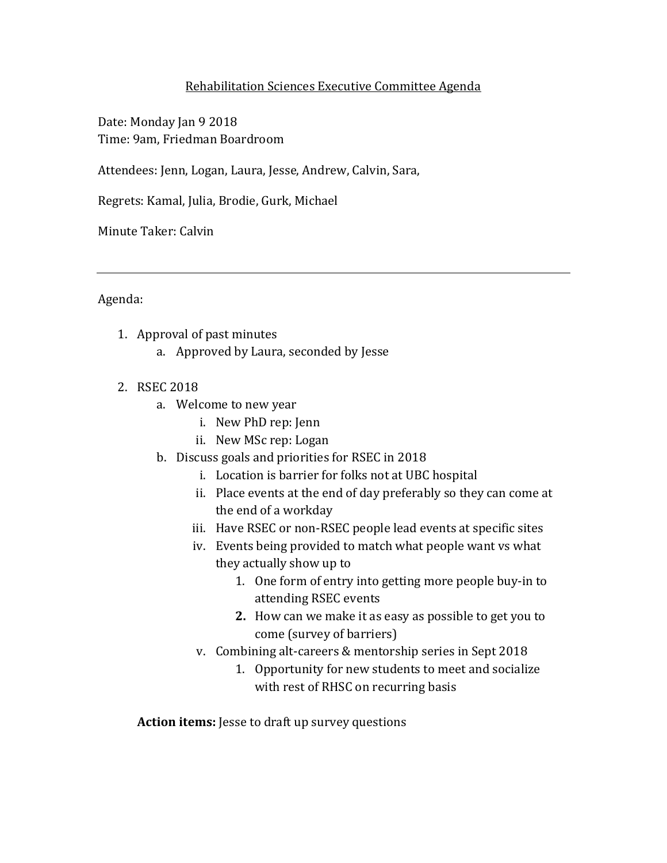## Rehabilitation Sciences Executive Committee Agenda

Date: Monday Jan 9 2018 Time: 9am, Friedman Boardroom

Attendees: Jenn, Logan, Laura, Jesse, Andrew, Calvin, Sara,

Regrets: Kamal, Julia, Brodie, Gurk, Michael

Minute Taker: Calvin

Agenda:

- 1. Approval of past minutes
	- a. Approved by Laura, seconded by Jesse
- 2. RSEC 2018
	- a. Welcome to new year
		- i. New PhD rep: Jenn
		- ii. New MSc rep: Logan
	- b. Discuss goals and priorities for RSEC in 2018
		- i. Location is barrier for folks not at UBC hospital
		- ii. Place events at the end of day preferably so they can come at the end of a workday
		- iii. Have RSEC or non-RSEC people lead events at specific sites
		- iv. Events being provided to match what people want vs what they actually show up to
			- 1. One form of entry into getting more people buy-in to attending RSEC events
			- **2.** How can we make it as easy as possible to get you to come (survey of barriers)
		- v. Combining alt-careers & mentorship series in Sept 2018
			- 1. Opportunity for new students to meet and socialize with rest of RHSC on recurring basis

**Action items:** Jesse to draft up survey questions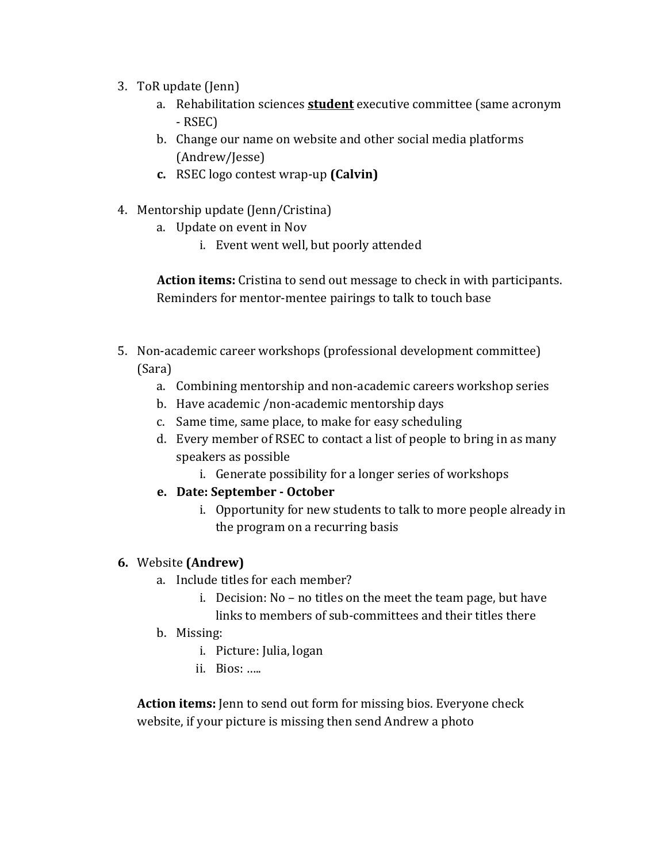- 3. ToR update (Jenn)
	- a. Rehabilitation sciences **student** executive committee (same acronym - RSEC)
	- b. Change our name on website and other social media platforms (Andrew/Jesse)
	- **c.** RSEC logo contest wrap-up **(Calvin)**
- 4. Mentorship update (Jenn/Cristina)
	- a. Update on event in Nov
		- i. Event went well, but poorly attended

**Action items:** Cristina to send out message to check in with participants. Reminders for mentor-mentee pairings to talk to touch base

- 5. Non-academic career workshops (professional development committee) (Sara)
	- a. Combining mentorship and non-academic careers workshop series
	- b. Have academic /non-academic mentorship days
	- c. Same time, same place, to make for easy scheduling
	- d. Every member of RSEC to contact a list of people to bring in as many speakers as possible
		- i. Generate possibility for a longer series of workshops
	- **e. Date: September October** 
		- i. Opportunity for new students to talk to more people already in the program on a recurring basis

## **6.** Website **(Andrew)**

- a. Include titles for each member?
	- i. Decision: No no titles on the meet the team page, but have links to members of sub-committees and their titles there
- b. Missing:
	- i. Picture: Julia, logan
	- ii. Bios: …..

**Action items:** Jenn to send out form for missing bios. Everyone check website, if your picture is missing then send Andrew a photo